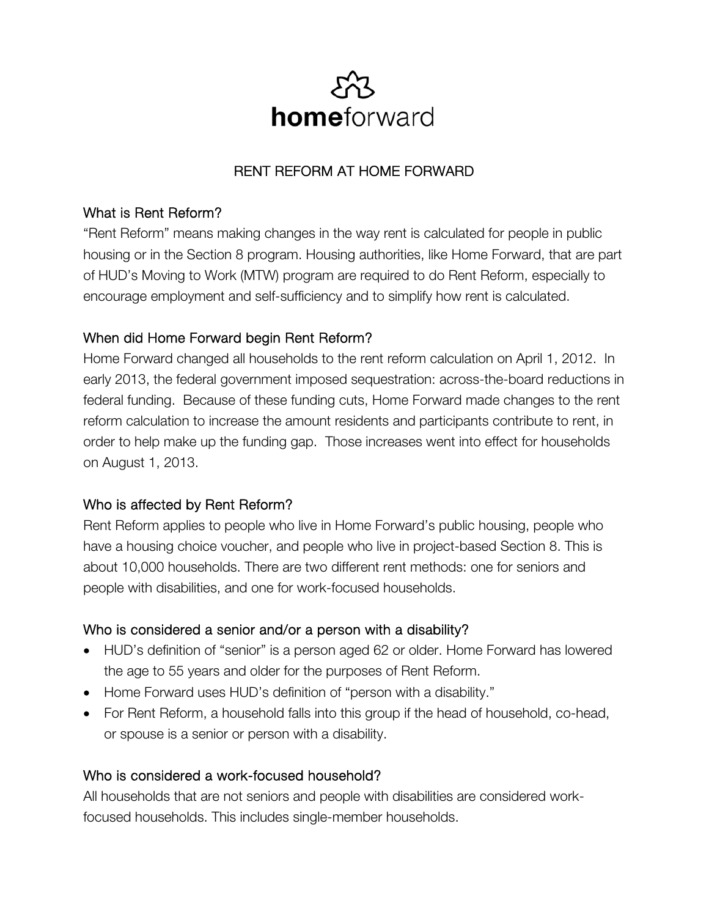

# RENT REFORM AT HOME FORWARD

#### What is Rent Reform?

"Rent Reform" means making changes in the way rent is calculated for people in public housing or in the Section 8 program. Housing authorities, like Home Forward, that are part of HUD's Moving to Work (MTW) program are required to do Rent Reform, especially to encourage employment and self-sufficiency and to simplify how rent is calculated.

## When did Home Forward begin Rent Reform?

Home Forward changed all households to the rent reform calculation on April 1, 2012. In early 2013, the federal government imposed sequestration: across-the-board reductions in federal funding. Because of these funding cuts, Home Forward made changes to the rent reform calculation to increase the amount residents and participants contribute to rent, in order to help make up the funding gap. Those increases went into effect for households on August 1, 2013.

## Who is affected by Rent Reform?

Rent Reform applies to people who live in Home Forward's public housing, people who have a housing choice voucher, and people who live in project-based Section 8. This is about 10,000 households. There are two different rent methods: one for seniors and people with disabilities, and one for work-focused households.

#### Who is considered a senior and/or a person with a disability?

- HUD's definition of "senior" is a person aged 62 or older. Home Forward has lowered the age to 55 years and older for the purposes of Rent Reform.
- Home Forward uses HUD's definition of "person with a disability."
- For Rent Reform, a household falls into this group if the head of household, co-head, or spouse is a senior or person with a disability.

## Who is considered a work-focused household?

All households that are not seniors and people with disabilities are considered workfocused households. This includes single-member households.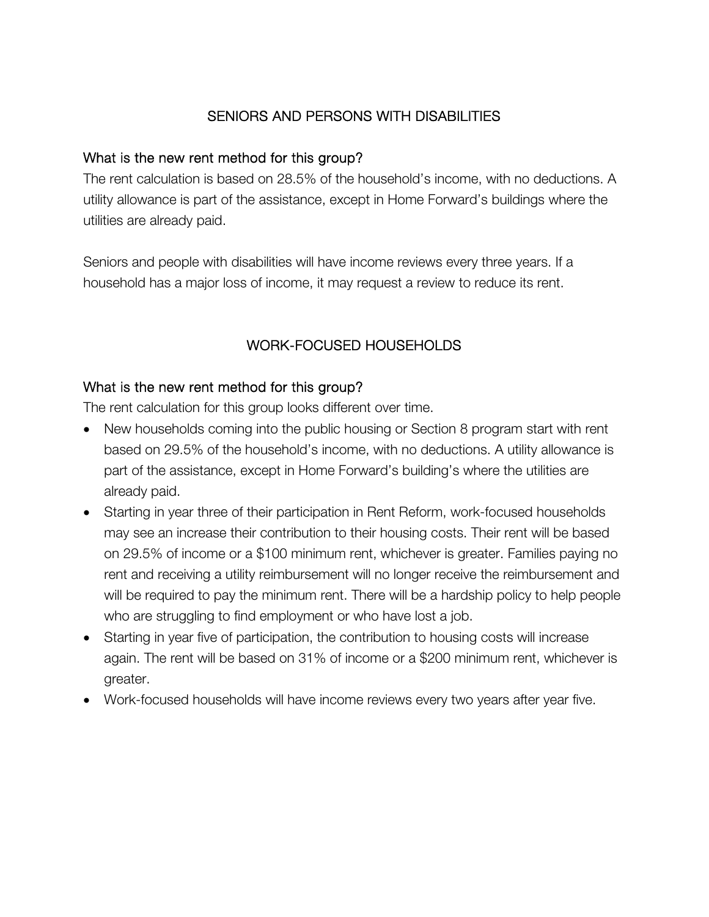# SENIORS AND PERSONS WITH DISABILITIES

#### What is the new rent method for this group?

The rent calculation is based on 28.5% of the household's income, with no deductions. A utility allowance is part of the assistance, except in Home Forward's buildings where the utilities are already paid.

Seniors and people with disabilities will have income reviews every three years. If a household has a major loss of income, it may request a review to reduce its rent.

# WORK-FOCUSED HOUSEHOLDS

## What is the new rent method for this group?

The rent calculation for this group looks different over time.

- New households coming into the public housing or Section 8 program start with rent based on 29.5% of the household's income, with no deductions. A utility allowance is part of the assistance, except in Home Forward's building's where the utilities are already paid.
- Starting in year three of their participation in Rent Reform, work-focused households may see an increase their contribution to their housing costs. Their rent will be based on 29.5% of income or a \$100 minimum rent, whichever is greater. Families paying no rent and receiving a utility reimbursement will no longer receive the reimbursement and will be required to pay the minimum rent. There will be a hardship policy to help people who are struggling to find employment or who have lost a job.
- Starting in year five of participation, the contribution to housing costs will increase again. The rent will be based on 31% of income or a \$200 minimum rent, whichever is greater.
- Work-focused households will have income reviews every two years after year five.